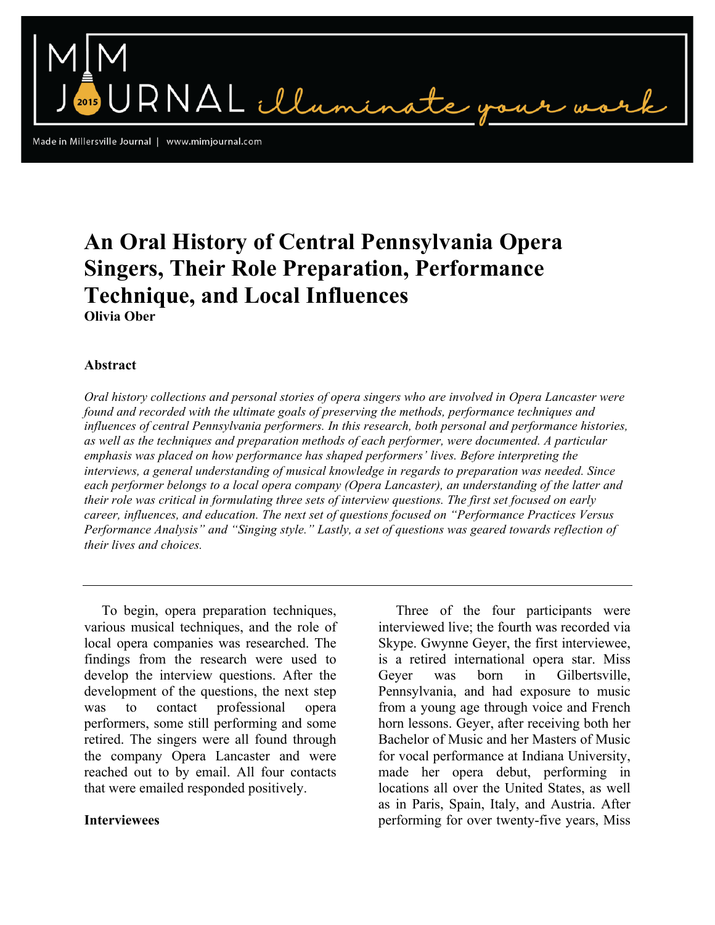Made in Millersville Journal | www.mimjournal.com

# **An Oral History of Central Pennsylvania Opera Singers, Their Role Preparation, Performance Technique, and Local Influences Olivia Ober**

RNAL illuminat

## **Abstract**

*Oral history collections and personal stories of opera singers who are involved in Opera Lancaster were found and recorded with the ultimate goals of preserving the methods, performance techniques and influences of central Pennsylvania performers. In this research, both personal and performance histories, as well as the techniques and preparation methods of each performer, were documented. A particular emphasis was placed on how performance has shaped performers' lives. Before interpreting the interviews, a general understanding of musical knowledge in regards to preparation was needed. Since each performer belongs to a local opera company (Opera Lancaster), an understanding of the latter and their role was critical in formulating three sets of interview questions. The first set focused on early career, influences, and education. The next set of questions focused on "Performance Practices Versus Performance Analysis" and "Singing style." Lastly, a set of questions was geared towards reflection of their lives and choices.*

 To begin, opera preparation techniques, various musical techniques, and the role of local opera companies was researched. The findings from the research were used to develop the interview questions. After the development of the questions, the next step was to contact professional opera performers, some still performing and some retired. The singers were all found through the company Opera Lancaster and were reached out to by email. All four contacts that were emailed responded positively.

#### **Interviewees**

 Three of the four participants were interviewed live; the fourth was recorded via Skype. Gwynne Geyer, the first interviewee, is a retired international opera star. Miss Geyer was born in Gilbertsville, Pennsylvania, and had exposure to music from a young age through voice and French horn lessons. Geyer, after receiving both her Bachelor of Music and her Masters of Music for vocal performance at Indiana University, made her opera debut, performing in locations all over the United States, as well as in Paris, Spain, Italy, and Austria. After performing for over twenty-five years, Miss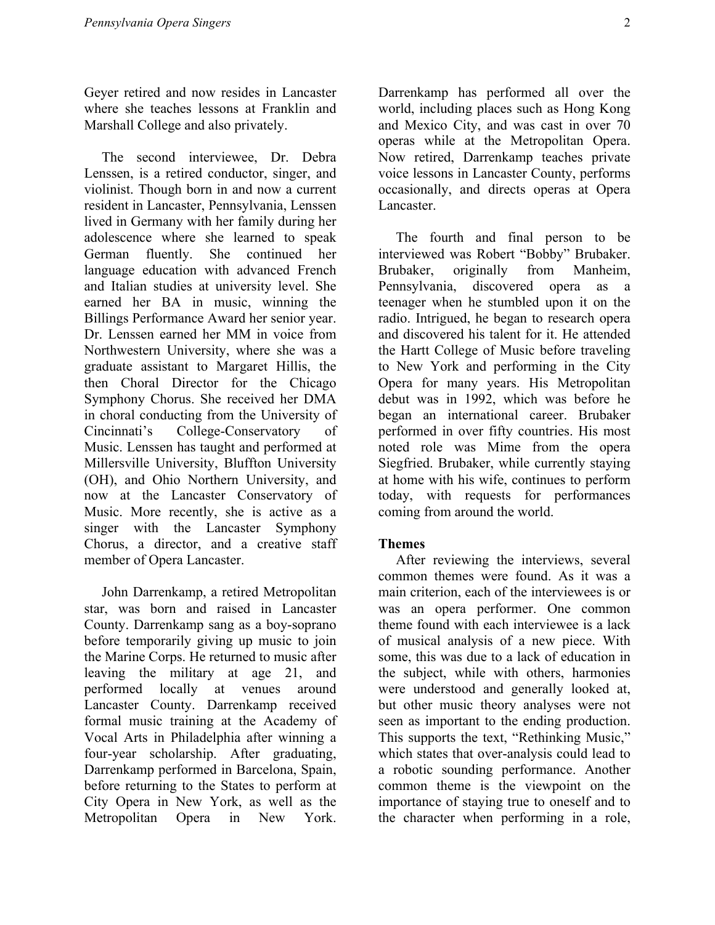Geyer retired and now resides in Lancaster where she teaches lessons at Franklin and Marshall College and also privately.

 The second interviewee, Dr. Debra Lenssen, is a retired conductor, singer, and violinist. Though born in and now a current resident in Lancaster, Pennsylvania, Lenssen lived in Germany with her family during her adolescence where she learned to speak German fluently. She continued her language education with advanced French and Italian studies at university level. She earned her BA in music, winning the Billings Performance Award her senior year. Dr. Lenssen earned her MM in voice from Northwestern University, where she was a graduate assistant to Margaret Hillis, the then Choral Director for the Chicago Symphony Chorus. She received her DMA in choral conducting from the University of Cincinnati's College-Conservatory of Music. Lenssen has taught and performed at Millersville University, Bluffton University (OH), and Ohio Northern University, and now at the Lancaster Conservatory of Music. More recently, she is active as a singer with the Lancaster Symphony Chorus, a director, and a creative staff member of Opera Lancaster.

 John Darrenkamp, a retired Metropolitan star, was born and raised in Lancaster County. Darrenkamp sang as a boy-soprano before temporarily giving up music to join the Marine Corps. He returned to music after leaving the military at age 21, and performed locally at venues around Lancaster County. Darrenkamp received formal music training at the Academy of Vocal Arts in Philadelphia after winning a four-year scholarship. After graduating, Darrenkamp performed in Barcelona, Spain, before returning to the States to perform at City Opera in New York, as well as the Metropolitan Opera in New York.

Darrenkamp has performed all over the world, including places such as Hong Kong and Mexico City, and was cast in over 70 operas while at the Metropolitan Opera. Now retired, Darrenkamp teaches private voice lessons in Lancaster County, performs occasionally, and directs operas at Opera Lancaster.

 The fourth and final person to be interviewed was Robert "Bobby" Brubaker. Brubaker, originally from Manheim, Pennsylvania, discovered opera as a teenager when he stumbled upon it on the radio. Intrigued, he began to research opera and discovered his talent for it. He attended the Hartt College of Music before traveling to New York and performing in the City Opera for many years. His Metropolitan debut was in 1992, which was before he began an international career. Brubaker performed in over fifty countries. His most noted role was Mime from the opera Siegfried. Brubaker, while currently staying at home with his wife, continues to perform today, with requests for performances coming from around the world.

## **Themes**

 After reviewing the interviews, several common themes were found. As it was a main criterion, each of the interviewees is or was an opera performer. One common theme found with each interviewee is a lack of musical analysis of a new piece. With some, this was due to a lack of education in the subject, while with others, harmonies were understood and generally looked at, but other music theory analyses were not seen as important to the ending production. This supports the text, "Rethinking Music," which states that over-analysis could lead to a robotic sounding performance. Another common theme is the viewpoint on the importance of staying true to oneself and to the character when performing in a role,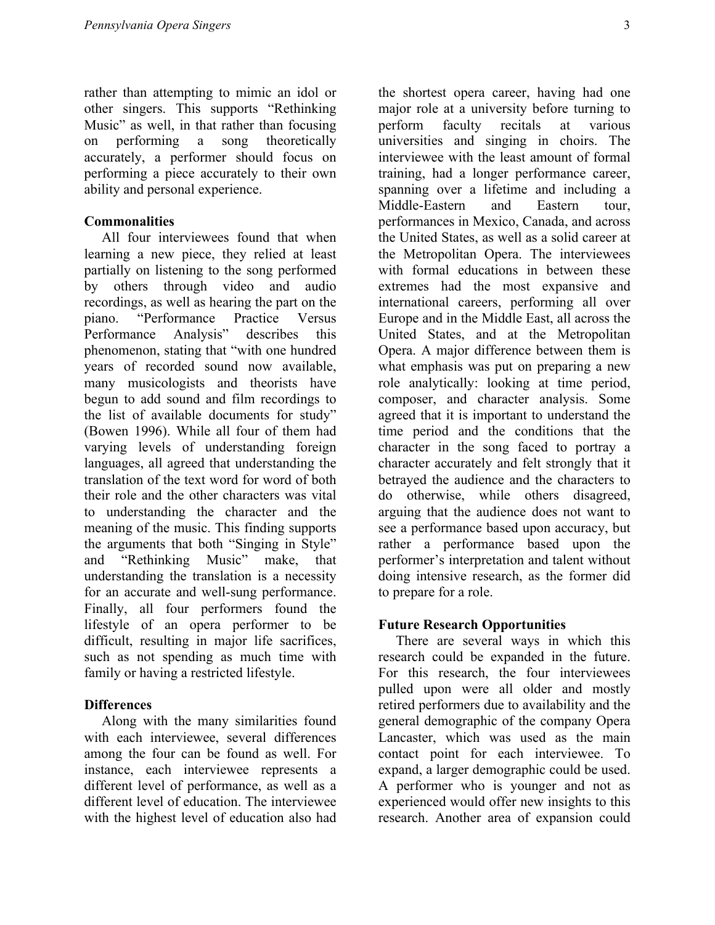rather than attempting to mimic an idol or other singers. This supports "Rethinking Music" as well, in that rather than focusing on performing a song theoretically accurately, a performer should focus on performing a piece accurately to their own ability and personal experience.

#### **Commonalities**

 All four interviewees found that when learning a new piece, they relied at least partially on listening to the song performed by others through video and audio recordings, as well as hearing the part on the piano. "Performance Practice Versus Performance Analysis" describes this phenomenon, stating that "with one hundred years of recorded sound now available, many musicologists and theorists have begun to add sound and film recordings to the list of available documents for study" (Bowen 1996). While all four of them had varying levels of understanding foreign languages, all agreed that understanding the translation of the text word for word of both their role and the other characters was vital to understanding the character and the meaning of the music. This finding supports the arguments that both "Singing in Style" and "Rethinking Music" make, that understanding the translation is a necessity for an accurate and well-sung performance. Finally, all four performers found the lifestyle of an opera performer to be difficult, resulting in major life sacrifices, such as not spending as much time with family or having a restricted lifestyle.

#### **Differences**

 Along with the many similarities found with each interviewee, several differences among the four can be found as well. For instance, each interviewee represents a different level of performance, as well as a different level of education. The interviewee with the highest level of education also had the shortest opera career, having had one major role at a university before turning to perform faculty recitals at various universities and singing in choirs. The interviewee with the least amount of formal training, had a longer performance career, spanning over a lifetime and including a Middle-Eastern and Eastern tour, performances in Mexico, Canada, and across the United States, as well as a solid career at the Metropolitan Opera. The interviewees with formal educations in between these extremes had the most expansive and international careers, performing all over Europe and in the Middle East, all across the United States, and at the Metropolitan Opera. A major difference between them is what emphasis was put on preparing a new role analytically: looking at time period, composer, and character analysis. Some agreed that it is important to understand the time period and the conditions that the character in the song faced to portray a character accurately and felt strongly that it betrayed the audience and the characters to do otherwise, while others disagreed, arguing that the audience does not want to see a performance based upon accuracy, but rather a performance based upon the performer's interpretation and talent without doing intensive research, as the former did to prepare for a role.

## **Future Research Opportunities**

 There are several ways in which this research could be expanded in the future. For this research, the four interviewees pulled upon were all older and mostly retired performers due to availability and the general demographic of the company Opera Lancaster, which was used as the main contact point for each interviewee. To expand, a larger demographic could be used. A performer who is younger and not as experienced would offer new insights to this research. Another area of expansion could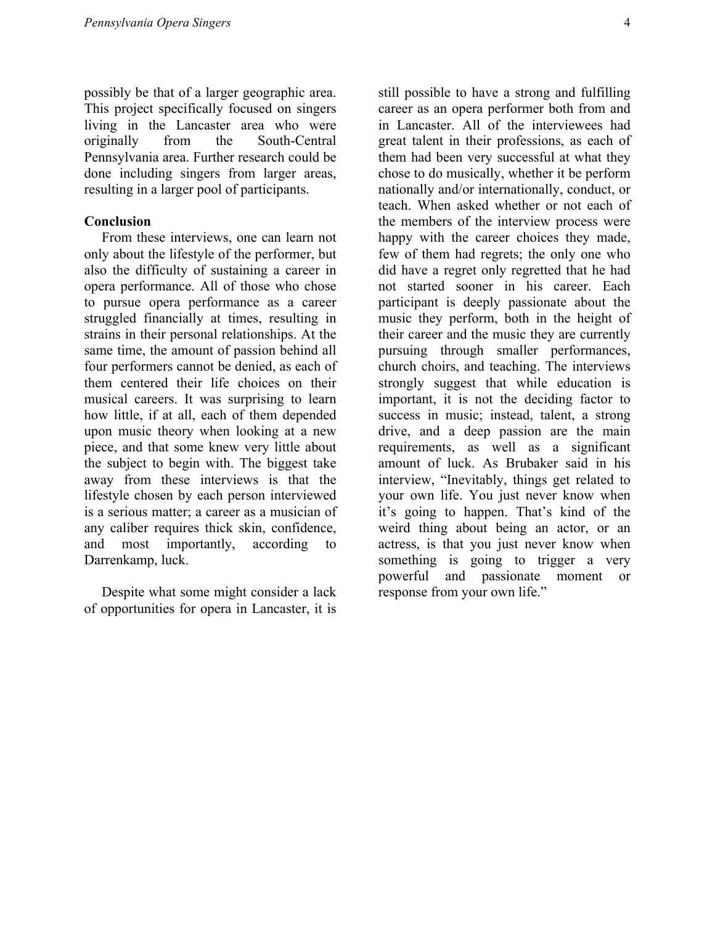possibly be that of a larger geographic area. This project specifically focused on singers living in the Lancaster area who were originally from the South-Central Pennsylvania area. Further research could be done including singers from larger areas, resulting in a larger pool of participants.

#### **Conclusion**

 From these interviews, one can learn not only about the lifestyle of the performer, but also the difficulty of sustaining a career in opera performance. All of those who chose to pursue opera performance as a career struggled financially at times, resulting in strains in their personal relationships. At the same time, the amount of passion behind all four performers cannot be denied, as each of them centered their life choices on their musical careers. It was surprising to learn how little, if at all, each of them depended upon music theory when looking at a new piece, and that some knew very little about the subject to begin with. The biggest take away from these interviews is that the lifestyle chosen by each person interviewed is a serious matter; a career as a musician of any caliber requires thick skin, confidence, and most importantly, according to Darrenkamp, luck.

 Despite what some might consider a lack of opportunities for opera in Lancaster, it is

still possible to have a strong and fulfilling career as an opera performer both from and in Lancaster. All of the interviewees had great talent in their professions, as each of them had been very successful at what they chose to do musically, whether it be perform nationally and/or internationally, conduct, or teach. When asked whether or not each of the members of the interview process were happy with the career choices they made, few of them had regrets; the only one who did have a regret only regretted that he had not started sooner in his career. Each participant is deeply passionate about the music they perform, both in the height of their career and the music they are currently pursuing through smaller performances, church choirs, and teaching. The interviews strongly suggest that while education is important, it is not the deciding factor to success in music; instead, talent, a strong drive, and a deep passion are the main requirements, as well as a significant amount of luck. As Brubaker said in his interview, "Inevitably, things get related to your own life. You just never know when it's going to happen. That's kind of the weird thing about being an actor, or an actress, is that you just never know when something is going to trigger a very powerful and passionate moment or response from your own life."